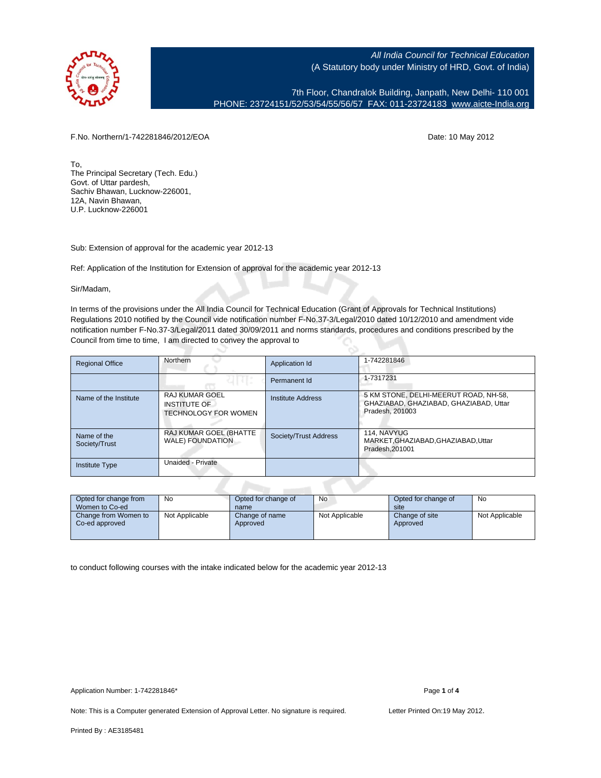

7th Floor, Chandralok Building, Janpath, New Delhi- 110 001 PHONE: 23724151/52/53/54/55/56/57 FAX: 011-23724183 [www.aicte-India.org](http://www.aicte-India.org)

F.No. Northern/1-742281846/2012/EOA Date: 10 May 2012

To, The Principal Secretary (Tech. Edu.) Govt. of Uttar pardesh, Sachiv Bhawan, Lucknow-226001, 12A, Navin Bhawan, U.P. Lucknow-226001

Sub: Extension of approval for the academic year 2012-13

Ref: Application of the Institution for Extension of approval for the academic year 2012-13

Sir/Madam,

In terms of the provisions under the All India Council for Technical Education (Grant of Approvals for Technical Institutions) Regulations 2010 notified by the Council vide notification number F-No.37-3/Legal/2010 dated 10/12/2010 and amendment vide notification number F-No.37-3/Legal/2011 dated 30/09/2011 and norms standards, procedures and conditions prescribed by the Council from time to time, I am directed to convey the approval to

| <b>Regional Office</b>       | Northern                                                                    |                       | 1-742281846                                                                                        |  |  |  |
|------------------------------|-----------------------------------------------------------------------------|-----------------------|----------------------------------------------------------------------------------------------------|--|--|--|
|                              |                                                                             | Permanent Id          | 1-7317231                                                                                          |  |  |  |
| Name of the Institute        | <b>RAJ KUMAR GOEL</b><br><b>INSTITUTE OF</b><br><b>TECHNOLOGY FOR WOMEN</b> | Institute Address     | 5 KM STONE, DELHI-MEERUT ROAD, NH-58,<br>GHAZIABAD, GHAZIABAD, GHAZIABAD, Uttar<br>Pradesh, 201003 |  |  |  |
| Name of the<br>Society/Trust | RAJ KUMAR GOEL (BHATTE<br><b>WALE) FOUNDATION</b>                           | Society/Trust Address | 114. NAVYUG<br>MARKET, GHAZIABAD, GHAZIABAD, Uttar<br>Pradesh.201001                               |  |  |  |
| <b>Institute Type</b>        | Unaided - Private                                                           |                       |                                                                                                    |  |  |  |
|                              |                                                                             |                       |                                                                                                    |  |  |  |

| Opted for change from<br>Women to Co-ed | No             | Opted for change of<br>name | <b>No</b>      | Opted for change of<br>site | No             |
|-----------------------------------------|----------------|-----------------------------|----------------|-----------------------------|----------------|
| Change from Women to<br>Co-ed approved  | Not Applicable | Change of name<br>Approved  | Not Applicable | Change of site<br>Approved  | Not Applicable |

to conduct following courses with the intake indicated below for the academic year 2012-13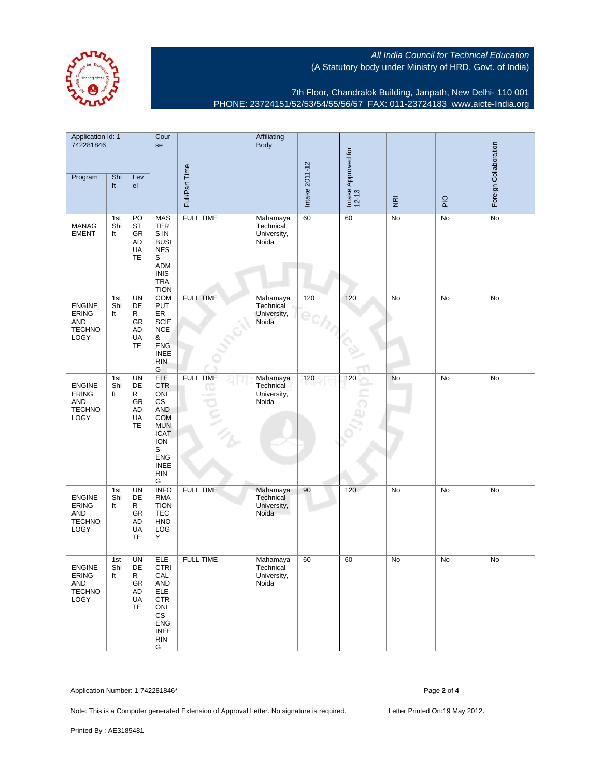7th Floor, Chandralok Building, Janpath, New Delhi- 110 001 PHONE: 23724151/52/53/54/55/56/57 FAX: 011-23724183 [www.aicte-India.org](http://www.aicte-India.org)

| Application Id: 1-<br>742281846                                             |                  | Cour<br>se                                          |                                                                                                                                                                    | Affiliating<br><b>Body</b> |                                               |                |                              |                         |     |                       |
|-----------------------------------------------------------------------------|------------------|-----------------------------------------------------|--------------------------------------------------------------------------------------------------------------------------------------------------------------------|----------------------------|-----------------------------------------------|----------------|------------------------------|-------------------------|-----|-----------------------|
| Program                                                                     | Shi<br>ft        | Lev<br>el                                           |                                                                                                                                                                    | Full/Part Time             |                                               | Intake 2011-12 | Intake Approved for<br>12-13 | $\overline{\mathbf{g}}$ | PIO | Foreign Collaboration |
| <b>MANAG</b><br><b>EMENT</b>                                                | 1st<br>Shi<br>ft | PO<br>ST<br>GR<br><b>AD</b><br>UA<br><b>TE</b>      | <b>MAS</b><br><b>TER</b><br>S IN<br><b>BUSI</b><br><b>NES</b><br>S<br><b>ADM</b><br><b>INIS</b><br><b>TRA</b><br><b>TION</b>                                       | <b>FULL TIME</b>           | Mahamaya<br>Technical<br>University,<br>Noida | 60             | 60                           | No                      | No  | <b>No</b>             |
| <b>ENGINE</b><br><b>ERING</b><br><b>AND</b><br><b>TECHNO</b><br><b>LOGY</b> | 1st<br>Shi<br>ft | UN<br>DE<br>R<br>GR<br>AD<br>UA<br>TE               | <b>COM</b><br>PUT<br>ER<br>SCIE<br><b>NCE</b><br>&<br><b>ENG</b><br><b>INEE</b><br><b>RIN</b><br>G                                                                 | <b>FULL TIME</b>           | Mahamaya<br>Technical<br>University,<br>Noida | 120            | 120                          | No                      | No  | No                    |
| <b>ENGINE</b><br><b>ERING</b><br><b>AND</b><br><b>TECHNO</b><br>LOGY        | 1st<br>Shi<br>ft | <b>UN</b><br>DE<br>R<br>GR<br><b>AD</b><br>UA<br>TE | <b>ELE</b><br><b>CTR</b><br>ONI<br>CS<br><b>AND</b><br><b>COM</b><br><b>MUN</b><br><b>ICAT</b><br><b>ION</b><br>S<br>${\sf ENG}$<br><b>INEE</b><br><b>RIN</b><br>G | <b>FULL TIME</b><br>40     | Mahamaya<br>Technical<br>University,<br>Noida | 120            | 120                          | No                      | No  | No                    |
| ENGINE<br><b>ERING</b><br><b>AND</b><br><b>TECHNO</b><br><b>LOGY</b>        | 1st<br>Shi<br>ft | <b>UN</b><br>DE<br>R<br>GR<br><b>AD</b><br>UA<br>TE | <b>INFO</b><br><b>RMA</b><br><b>TION</b><br><b>TEC</b><br><b>HNO</b><br>LOG<br>Y                                                                                   | <b>FULL TIME</b>           | Mahamaya<br>Technical<br>University,<br>Noida | 90             | 120                          | No                      | No  | No                    |
| <b>ENGINE</b><br><b>ERING</b><br>AND<br><b>TECHNO</b><br>LOGY               | 1st<br>Shi<br>πt | <b>UN</b><br>DE<br>R.<br>GR<br>AD<br>UA<br>TE       | ELE<br><b>CTRI</b><br><b>CAL</b><br>AND<br><b>ELE</b><br><b>CTR</b><br>ONI<br>CS<br><b>ENG</b><br><b>INEE</b><br><b>RIN</b><br>G                                   | <b>FULL TIME</b>           | Mahamaya<br>Technical<br>University,<br>Noida | 60             | 60                           | No                      | No  | No                    |

Application Number: 1-742281846\* Page **2** of **4**

Note: This is a Computer generated Extension of Approval Letter. No signature is required. Letter Printed On:19 May 2012.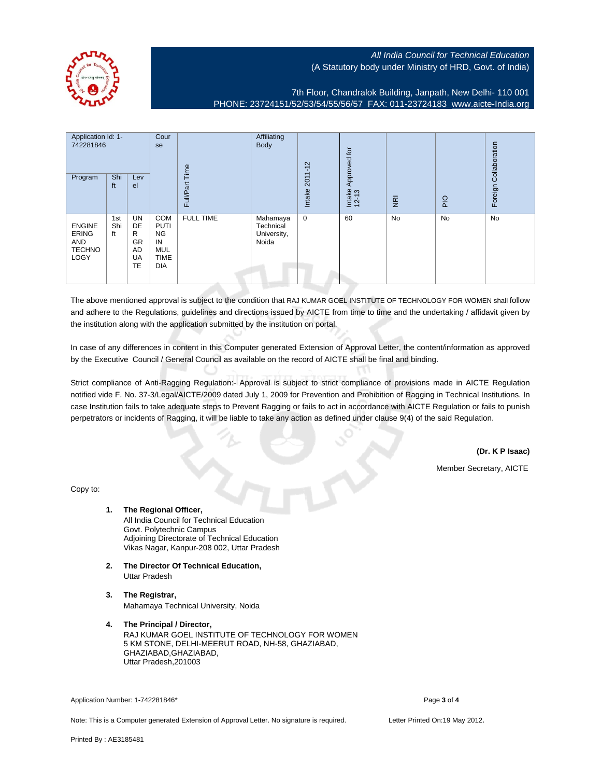

7th Floor, Chandralok Building, Janpath, New Delhi- 110 001 PHONE: 23724151/52/53/54/55/56/57 FAX: 011-23724183 [www.aicte-India.org](http://www.aicte-India.org)

| Application Id: 1-<br>742281846<br>Program                    | Shi<br>ft        | Lev<br>el                                    | Cour<br>se                                                                       | Time<br>Full/Part | Affiliating<br>Body                           | $2011 - 12$<br>Intake | $\overline{5}$<br>Approved<br>Intake<br>12-13 | $\overline{g}$ | PIO | Foreign Collaboration |
|---------------------------------------------------------------|------------------|----------------------------------------------|----------------------------------------------------------------------------------|-------------------|-----------------------------------------------|-----------------------|-----------------------------------------------|----------------|-----|-----------------------|
| <b>ENGINE</b><br><b>ERING</b><br>AND<br><b>TECHNO</b><br>LOGY | 1st<br>Shi<br>ft | UN<br>DE<br>R<br><b>GR</b><br>AD<br>UA<br>TE | COM<br><b>PUTI</b><br><b>NG</b><br>IN<br><b>MUL</b><br><b>TIME</b><br><b>DIA</b> | <b>FULL TIME</b>  | Mahamaya<br>Technical<br>University,<br>Noida | $\mathbf 0$           | 60                                            | <b>No</b>      | No  | <b>No</b>             |

The above mentioned approval is subject to the condition that RAJ KUMAR GOEL INSTITUTE OF TECHNOLOGY FOR WOMEN shall follow and adhere to the Regulations, guidelines and directions issued by AICTE from time to time and the undertaking / affidavit given by the institution along with the application submitted by the institution on portal.

In case of any differences in content in this Computer generated Extension of Approval Letter, the content/information as approved by the Executive Council / General Council as available on the record of AICTE shall be final and binding.

Strict compliance of Anti-Ragging Regulation:- Approval is subject to strict compliance of provisions made in AICTE Regulation notified vide F. No. 37-3/Legal/AICTE/2009 dated July 1, 2009 for Prevention and Prohibition of Ragging in Technical Institutions. In case Institution fails to take adequate steps to Prevent Ragging or fails to act in accordance with AICTE Regulation or fails to punish perpetrators or incidents of Ragging, it will be liable to take any action as defined under clause 9(4) of the said Regulation.

**(Dr. K P Isaac)**

Member Secretary, AICTE

Copy to:

- **1. The Regional Officer,** All India Council for Technical Education Govt. Polytechnic Campus Adjoining Directorate of Technical Education Vikas Nagar, Kanpur-208 002, Uttar Pradesh
- **2. The Director Of Technical Education,** Uttar Pradesh
- **3. The Registrar,** Mahamaya Technical University, Noida
- **4. The Principal / Director,** RAJ KUMAR GOEL INSTITUTE OF TECHNOLOGY FOR WOMEN 5 KM STONE, DELHI-MEERUT ROAD, NH-58, GHAZIABAD, GHAZIABAD,GHAZIABAD, Uttar Pradesh,201003

Application Number: 1-742281846\* Page **3** of **4**

Note: This is a Computer generated Extension of Approval Letter. No signature is required. Letter Printed On:19 May 2012.